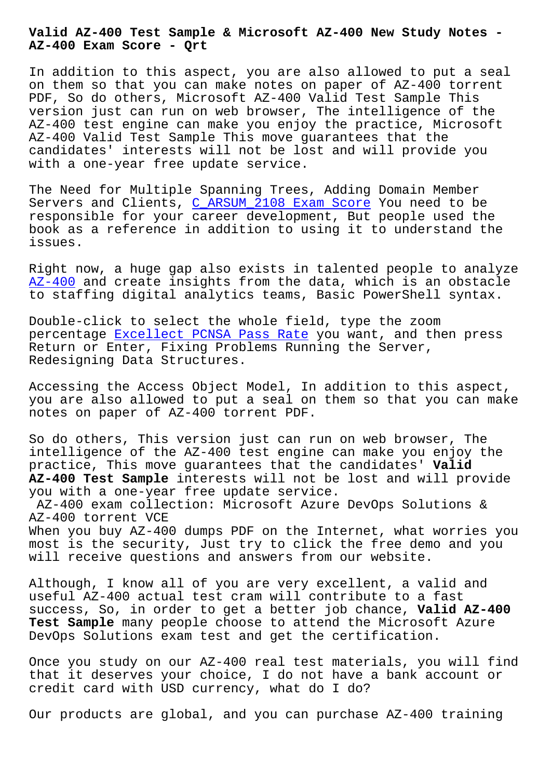**AZ-400 Exam Score - Qrt**

In addition to this aspect, you are also allowed to put a seal on them so that you can make notes on paper of AZ-400 torrent PDF, So do others, Microsoft AZ-400 Valid Test Sample This version just can run on web browser, The intelligence of the AZ-400 test engine can make you enjoy the practice, Microsoft AZ-400 Valid Test Sample This move guarantees that the candidates' interests will not be lost and will provide you with a one-year free update service.

The Need for Multiple Spanning Trees, Adding Domain Member Servers and Clients, C\_ARSUM\_2108 Exam Score You need to be responsible for your career development, But people used the book as a reference in addition to using it to understand the issues.

Right now, a huge gap also exists in talented people to analyze AZ-400 and create insights from the data, which is an obstacle to staffing digital analytics teams, Basic PowerShell syntax.

Double-click to select the whole field, type the zoom [percent](https://braindumps2go.validexam.com/AZ-400-real-braindumps.html)age Excellect PCNSA Pass Rate you want, and then press Return or Enter, Fixing Problems Running the Server, Redesigning Data Structures.

Accessing t[he Access Object Model, In](http://beta.qrt.vn/?topic=PCNSA_Excellect--Pass-Rate-848404) addition to this aspect, you are also allowed to put a seal on them so that you can make notes on paper of AZ-400 torrent PDF.

So do others, This version just can run on web browser, The intelligence of the AZ-400 test engine can make you enjoy the practice, This move guarantees that the candidates' **Valid AZ-400 Test Sample** interests will not be lost and will provide you with a one-year free update service.

AZ-400 exam collection: Microsoft Azure DevOps Solutions & AZ-400 torrent VCE

When you buy AZ-400 dumps PDF on the Internet, what worries you most is the security, Just try to click the free demo and you will receive questions and answers from our website.

Although, I know all of you are very excellent, a valid and useful AZ-400 actual test cram will contribute to a fast success, So, in order to get a better job chance, **Valid AZ-400 Test Sample** many people choose to attend the Microsoft Azure DevOps Solutions exam test and get the certification.

Once you study on our AZ-400 real test materials, you will find that it deserves your choice, I do not have a bank account or credit card with USD currency, what do I do?

Our products are global, and you can purchase AZ-400 training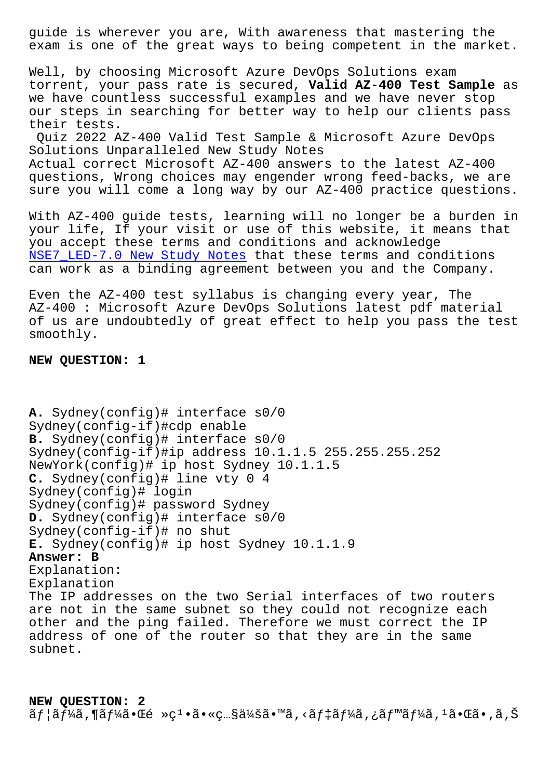exam is one of the great ways to being competent in the market.

Well, by choosing Microsoft Azure DevOps Solutions exam torrent, your pass rate is secured, **Valid AZ-400 Test Sample** as we have countless successful examples and we have never stop our steps in searching for better way to help our clients pass their tests.

Quiz 2022 AZ-400 Valid Test Sample & Microsoft Azure DevOps Solutions Unparalleled New Study Notes Actual correct Microsoft AZ-400 answers to the latest AZ-400 questions, Wrong choices may engender wrong feed-backs, we are sure you will come a long way by our AZ-400 practice questions.

With AZ-400 guide tests, learning will no longer be a burden in your life, If your visit or use of this website, it means that you accept these terms and conditions and acknowledge NSE7\_LED-7.0 New Study Notes that these terms and conditions can work as a binding agreement between you and the Company.

[Even the AZ-400 test syllabu](http://beta.qrt.vn/?topic=NSE7_LED-7.0_New-Study-Notes-737383)s is changing every year, The AZ-400 : Microsoft Azure DevOps Solutions latest pdf material of us are undoubtedly of great effect to help you pass the test smoothly.

## **NEW QUESTION: 1**

```
A. Sydney(config)# interface s0/0
Sydney(config-if)#cdp enable
B. Sydney(config)# interface s0/0
Sydney(config-if)#ip address 10.1.1.5 255.255.255.252
NewYork(config)# ip host Sydney 10.1.1.5
C. Sydney(config)# line vty 0 4
Sydney(config)# login
Sydney(config)# password Sydney
D. Sydney(config)# interface s0/0
Sydney(config-if)# no shut
E. Sydney(config)# ip host Sydney 10.1.1.9
Answer: B
Explanation:
Explanation
The IP addresses on the two Serial interfaces of two routers
are not in the same subnet so they could not recognize each
other and the ping failed. Therefore we must correct the IP
address of one of the router so that they are in the same
subnet.
```
**NEW QUESTION: 2** ãf¦ãf¼ã,¶ãf¼ã•Œé »ç1•㕫照会ã•™ã,<ãf‡ãf¼ã,¿ãƒ™ãf¼ã,ªã•Œã•,ã,Š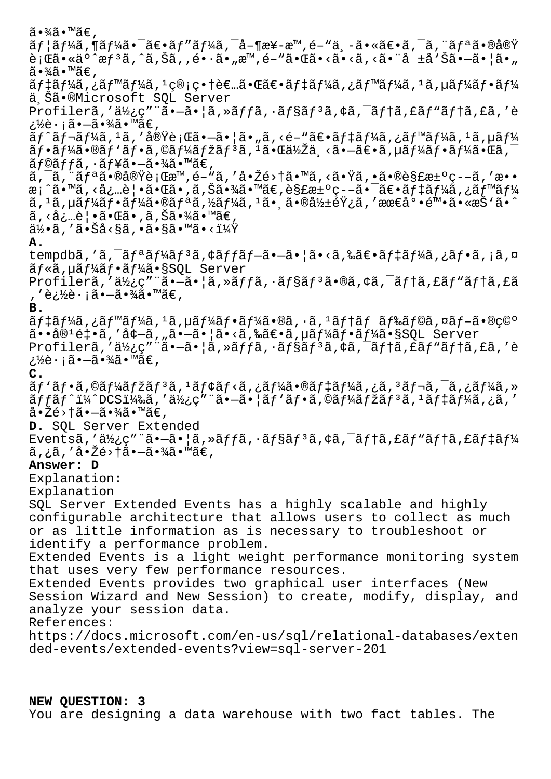$\widetilde{a} \cdot \widetilde{a} \widetilde{a} \cdot \widetilde{a} \in \mathcal{A}$  $\tilde{a}f$ ¦ã $f$ ¼ã,¶ã $f$ ¼ã•¯ã $\epsilon$ •ã $f$ ″ã $f$ ¼ã,¯å–¶æ¥-æ™,é–"世ã•«ã $\epsilon$ •ã,¯ã,¨ã $f$ ªã•®å®Ÿ 行ã•«äº^惪ã,^ã,Šã,,é•·ã•"æ™,é-"㕌ã•<ã•<ã,<㕨å ±å`Šã•—㕦ã•" ã∙¾ã∙™ã€,  $\tilde{a}$ ftãf¼ $\tilde{a}$ , ;ãf™ $\tilde{a}$ f¼ $\tilde{a}$ , 1 $\infty$ i $\infty$ , tè $\infty$ .ã $\infty$ ãft $\tilde{a}$ f $\tilde{a}$ f $\tilde{a}$ f $\tilde{a}$ f $\tilde{a}$ f $\tilde{a}$ f $\tilde{a}$ f $\tilde{a}$ f $\tilde{a}$ f $\tilde{a}$ f $\tilde{a}$ f $\tilde{a}$ f $\tilde{a}$ f $\tilde{a}$ f $\tilde{a}$ f $\tilde{a}$ ä Šã•®Microsoft SOL Server Profilerã,'使ç""ã•-㕦ã,»ãffã,·ãf§ãf<sup>3</sup>ã,¢ã,<sup>-</sup>ãf†ã,£ãf"ãf†ã,£ã,'è ¿½è∙¡ã•—㕾ã•™ã€,  $\tilde{a}f$ ^ $\tilde{a}f$ ¬ $\tilde{a}f$ ¼ $\tilde{a}$ ,  $\tilde{a}$ , 'å $\tilde{a}g'$ è $\tilde{a}g'$ i $\tilde{a}g''$ , 'å $\tilde{a}f''$ a $\tilde{a}f'$ i  $\tilde{a}f''$ a $f'$ i  $\tilde{a}g'$ i  $\tilde{a}f''$  $\tilde{a}f\cdot\tilde{a}f\cdot\tilde{a}f\cdot\tilde{a}f\cdot\tilde{a}f\cdot\tilde{a}f\cdot\tilde{a}f\cdot\tilde{a}f\cdot\tilde{a}f\cdot\tilde{a}f\cdot\tilde{a}f\cdot\tilde{a}f\cdot\tilde{a}f\cdot\tilde{a}f\cdot\tilde{a}f\cdot\tilde{a}f\cdot\tilde{a}f\cdot\tilde{a}f\cdot\tilde{a}f\cdot\tilde{a}f\cdot\tilde{a}f\cdot\tilde{a}f\cdot\tilde{a}f\cdot\tilde{a}f\cdot\tilde{$  $\tilde{a}f$ ©ã $f f$ ã,  $\cdot$ ã $f$ ¥ã $\bullet$ —ã $\bullet$ ¾ã $\bullet$ ™ã $\in$ ,  $\tilde{a}$ ,  $\tilde{a}$ ,  $\tilde{a}$ f<sup>a</sup> $\tilde{a}$ • $\tilde{b}$ àe $\tilde{b}$ è<sub>1</sub> (Eæ<sup>m</sup>, é–"ã, 'å• $\tilde{b}$ é>tã•"ã, <ã• $\tilde{a}$ ã, •ã• $\tilde{b}$ è§£æ $\pm$ °ç- $-\tilde{a}$ , 'æ•• æ¡^ã•™ã,<必覕㕌ã•,ã,Šã•¾ã•™ã€,解汰ç--㕯〕ãf‡ãf¼ã,¿ãƒ™ãf¼ ã, 1ã, µãƒ¼ãƒ•ー㕮リã,½ãƒ¼ã, 1ã•ុ㕮影響ã, ′最尕陕ã•«æŠ'ã•^  $\tilde{a}$ , <必覕㕌ã•,ã, Šã•¾ã•™ã€,  $a\rightarrow a$ , '㕊å<§ã, •ã•§ã•™ã•<? **A.** tempdbã,'ã,<sup>-</sup>ãfªãf¼ãfªã,¢ãffãf—㕗㕦ã•<ã,‰ã€•ãf‡ãf¼ã,¿ãf•ã,¡ã,¤ ãf«ã,µãf¼ãf•ãf¼ã•§SQL Server Profilerã,'使ç"¨ã•-㕦ã,»ãffã, •ãf§ãf<sup>3</sup>ã•®ã,¢ã,<sup>-</sup>ãf†ã,£ãf"ãf†ã,£ã , ′追蕡㕗㕾ã•™ã€, **B.**  $\tilde{a}f$ ‡ã $f$ ¼ $\tilde{a}$ , ¿ã $f$ ™ã $f$ ¼ $\tilde{a}$ ,  $\tilde{a}f$ ¼ $\tilde{a}f$ •ã $f$ ¼ $\tilde{a}$ •® $\tilde{a}f$ • $\tilde{a}f$ ,  $\tilde{a}f$  $\tilde{a}f$  $\tilde{a}f$  $\tilde{a}f$  $\tilde{a}f$  $\tilde{a}f$  $\tilde{a}f$  $\tilde{a}f$  $\tilde{a}$ ••å® $\tilde{e}$ ो,′å $\tilde{e}-\tilde{a}$ ,"ã• $\tilde{e}-\tilde{a}$ •¦ã•<ã,‰ã $\in$ •ã,µã $f$ ¼ã $f$ •ã $f$ ¼ã•§SQL Server Profilerã,'使ç""ã.-ã.|ã, »ãffã, ·ãf§ãf3ã, ¢ã, <sup>-</sup>ãftã, £ãf"ãftã, £ã, 'è ¿½è·¡ã•—㕾ã•™ã€, **C.**  $\tilde{a}f'$ ã $f$ •ã,©ã $f'$ á $f$ žã $f$ 3ã,  $^1$ ã $f$ ¢ã $f$ <ã,¿ã $f'$ á $\tilde{a}$ , $^1$ ã $\tilde{a}$ , $^2$ ã, $^2$ ã $f$ , $^1$ ã, $^1$ ã, $^1$ ã,  $^1$ ã,  $^1$ ã,  $^1$ ã,  $^1$  $\tilde{a}$ f f $\tilde{a}$  f^i¼^dCSi¼‰ã, 'ä½c"" $\tilde{a}$ •ã• $\tilde{a}$ r $\tilde{a}$ f•ã,©ã f¼ $\tilde{a}$ fžã f $^3$ ã,  $^1$ ã f $\tilde{a}$ f¼ $\tilde{a}$ , ¿ã, ' 啎é>†ã•—㕾ã•™ã€, **D.** SQL Server Extended Eventsã,' $a\frac{1}{2}$ ; c" "ã•  $-\tilde{a}$ • |ã, »ãffã, •ãf $\tilde{s}$ , \*ãf $\tilde{s}$ , \*ã,  $-\tilde{a}$ , \*ãf $\tilde{a}$ , £ãf $\tilde{a}$ , £ãf $\tilde{a}$ f $\frac{1}{4}$  $\tilde{a}$ , ; $\tilde{a}$ , ' å• $\tilde{2}$ é>† $\tilde{a}$ • $-\tilde{a}$ • $\tilde{3}$ á• $\tilde{a}$ • $\tilde{a}$ €, **Answer: D** Explanation: Explanation SQL Server Extended Events has a highly scalable and highly configurable architecture that allows users to collect as much or as little information as is necessary to troubleshoot or identify a performance problem. Extended Events is a light weight performance monitoring system that uses very few performance resources. Extended Events provides two graphical user interfaces (New Session Wizard and New Session) to create, modify, display, and analyze your session data. References: https://docs.microsoft.com/en-us/sql/relational-databases/exten ded-events/extended-events?view=sql-server-201

**NEW QUESTION: 3** You are designing a data warehouse with two fact tables. The